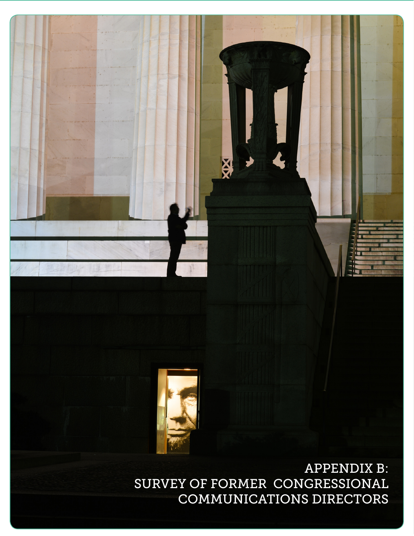## APPENDIX B: SURVEY OF FORMER CONGRESSIONAL COMMUNICATIONS DIRECTORS





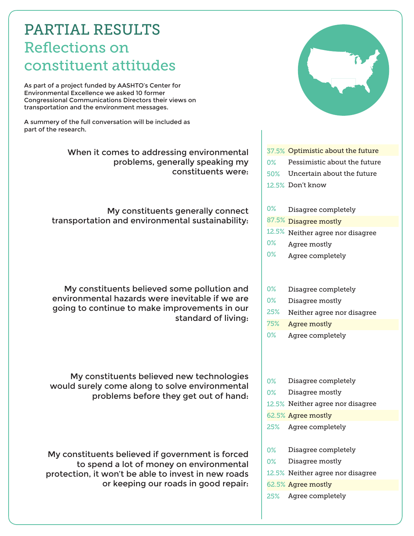## PARTIAL RESULTS Reflections on constituent attitudes

As part of a project funded by AASHTO's Center for Environmental Excellence we asked 10 former Congressional Communications Directors their views on transportation and the environment messages.

A summery of the full conversation will be included as part of the research.

> When it comes to addressing environmental problems, generally speaking my constituents were:

My constituents generally connect transportation and environmental sustainability:

My constituents believed some pollution and environmental hazards were inevitable if we are going to continue to make improvements in our standard of living:

My constituents believed new technologies would surely come along to solve environmental problems before they get out of hand:

My constituents believed if government is forced to spend a lot of money on environmental protection, it won't be able to invest in new roads or keeping our roads in good repair:



- Agree mostly 0%
- Agree completely 0%
- Disagree completely 0%
- Disagree mostly 0%
- Neither agree nor disagree 25%
- Agree mostly 75%
- Agree completely 0%
- Disagree completely 0%
- Disagree mostly 0%
- 12.5% Neither agree nor disagree
- 62.5% Agree mostly
- Agree completely 25%
- Disagree completely 0%
- Disagree mostly 0%
- 12.5% Neither agree nor disagree
- 62.5% Agree mostly
- Agree completely 25%